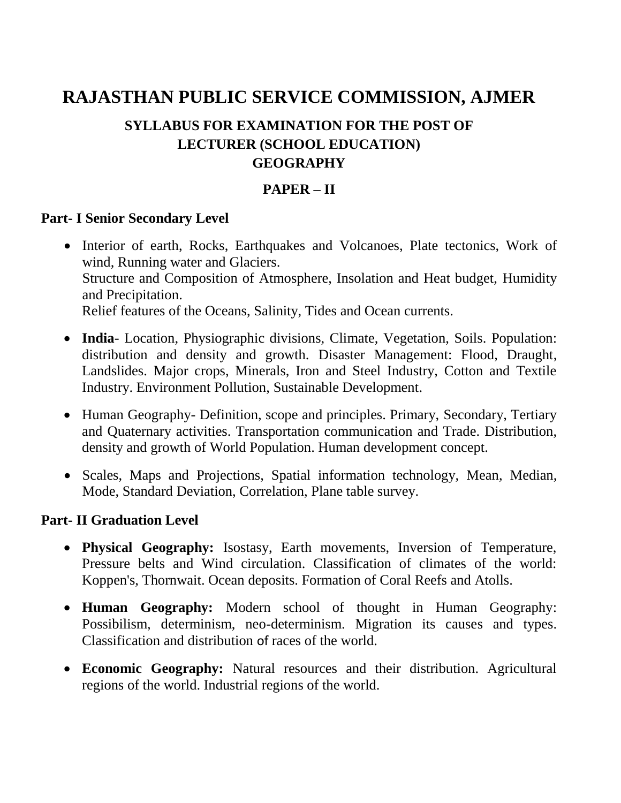# **RAJASTHAN PUBLIC SERVICE COMMISSION, AJMER**

# **SYLLABUS FOR EXAMINATION FOR THE POST OF LECTURER (SCHOOL EDUCATION) GEOGRAPHY**

## **PAPER – II**

#### **Part- I Senior Secondary Level**

- Interior of earth, Rocks, Earthquakes and Volcanoes, Plate tectonics, Work of wind, Running water and Glaciers. Structure and Composition of Atmosphere, Insolation and Heat budget, Humidity and Precipitation. Relief features of the Oceans, Salinity, Tides and Ocean currents.
- **India** Location, Physiographic divisions, Climate, Vegetation, Soils. Population: distribution and density and growth. Disaster Management: Flood, Draught, Landslides. Major crops, Minerals, Iron and Steel Industry, Cotton and Textile Industry. Environment Pollution, Sustainable Development.
- Human Geography- Definition, scope and principles. Primary, Secondary, Tertiary and Quaternary activities. Transportation communication and Trade. Distribution, density and growth of World Population. Human development concept.
- Scales, Maps and Projections, Spatial information technology, Mean, Median, Mode, Standard Deviation, Correlation, Plane table survey.

#### **Part- II Graduation Level**

- **Physical Geography:** Isostasy, Earth movements, Inversion of Temperature, Pressure belts and Wind circulation. Classification of climates of the world: Koppen's, Thornwait. Ocean deposits. Formation of Coral Reefs and Atolls.
- **Human Geography:** Modern school of thought in Human Geography: Possibilism, determinism, neo-determinism. Migration its causes and types. Classification and distribution of races of the world.
- **Economic Geography:** Natural resources and their distribution. Agricultural regions of the world. Industrial regions of the world.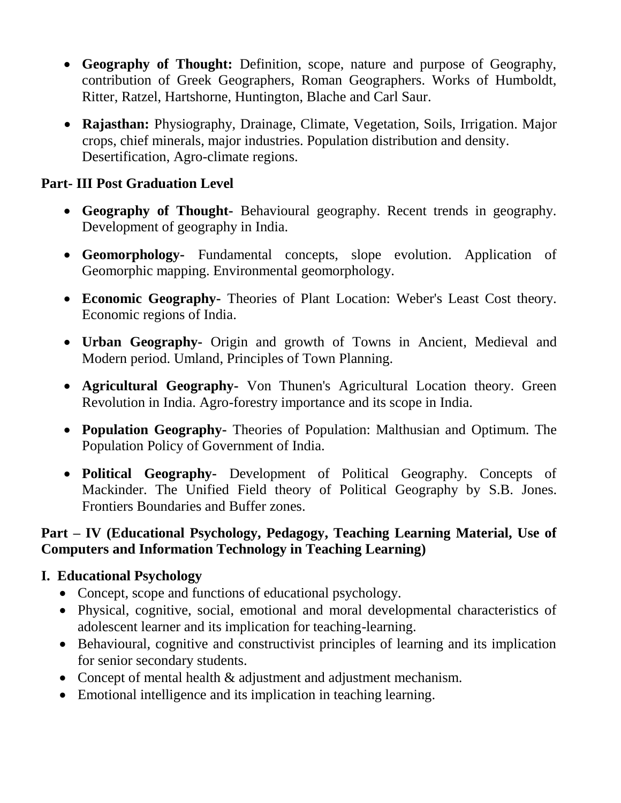- **Geography of Thought:** Definition, scope, nature and purpose of Geography, contribution of Greek Geographers, Roman Geographers. Works of Humboldt, Ritter, Ratzel, Hartshorne, Huntington, Blache and Carl Saur.
- **Rajasthan:** Physiography, Drainage, Climate, Vegetation, Soils, Irrigation. Major crops, chief minerals, major industries. Population distribution and density. Desertification, Agro-climate regions.

## **Part- III Post Graduation Level**

- **Geography of Thought-** Behavioural geography. Recent trends in geography. Development of geography in India.
- **Geomorphology-** Fundamental concepts, slope evolution. Application of Geomorphic mapping. Environmental geomorphology.
- **Economic Geography-** Theories of Plant Location: Weber's Least Cost theory. Economic regions of India.
- **Urban Geography-** Origin and growth of Towns in Ancient, Medieval and Modern period. Umland, Principles of Town Planning.
- **Agricultural Geography-** Von Thunen's Agricultural Location theory. Green Revolution in India. Agro-forestry importance and its scope in India.
- **Population Geography-** Theories of Population: Malthusian and Optimum. The Population Policy of Government of India.
- **Political Geography-** Development of Political Geography. Concepts of Mackinder. The Unified Field theory of Political Geography by S.B. Jones. Frontiers Boundaries and Buffer zones.

### **Part – IV (Educational Psychology, Pedagogy, Teaching Learning Material, Use of Computers and Information Technology in Teaching Learning)**

## **I. Educational Psychology**

- Concept, scope and functions of educational psychology.
- Physical, cognitive, social, emotional and moral developmental characteristics of adolescent learner and its implication for teaching-learning.
- Behavioural, cognitive and constructivist principles of learning and its implication for senior secondary students.
- Concept of mental health & adjustment and adjustment mechanism.
- Emotional intelligence and its implication in teaching learning.